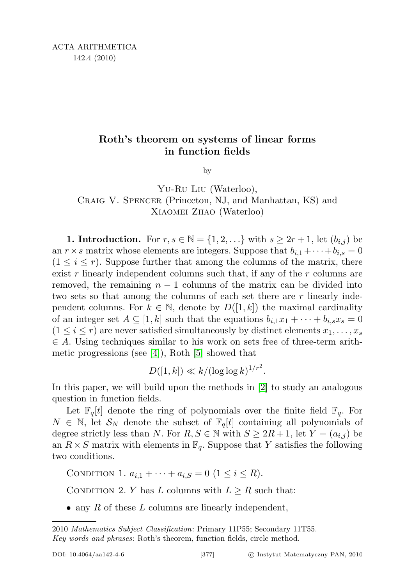## Roth's theorem on systems of linear forms in function fields

by

Yu-Ru Liu (Waterloo), Craig V. Spencer (Princeton, NJ, and Manhattan, KS) and Xiaomei Zhao (Waterloo)

1. Introduction. For  $r, s \in \mathbb{N} = \{1, 2, \ldots\}$  with  $s \geq 2r + 1$ , let  $(b_{i,j})$  be an  $r \times s$  matrix whose elements are integers. Suppose that  $b_{i,1} + \cdots + b_{i,s} = 0$  $(1 \leq i \leq r)$ . Suppose further that among the columns of the matrix, there exist r linearly independent columns such that, if any of the  $r$  columns are removed, the remaining  $n - 1$  columns of the matrix can be divided into two sets so that among the columns of each set there are r linearly independent columns. For  $k \in \mathbb{N}$ , denote by  $D([1, k])$  the maximal cardinality of an integer set  $A \subseteq [1, k]$  such that the equations  $b_{i,1}x_1 + \cdots + b_{i,s}x_s = 0$  $(1 \leq i \leq r)$  are never satisfied simultaneously by distinct elements  $x_1, \ldots, x_s$  $\in A$ . Using techniques similar to his work on sets free of three-term arithmetic progressions (see [\[4\]](#page-9-0)), Roth [\[5\]](#page-9-1) showed that

 $D([1, k]) \ll k/(\log \log k)^{1/r^2}.$ 

In this paper, we will build upon the methods in [\[2\]](#page-9-2) to study an analogous question in function fields.

Let  $\mathbb{F}_q[t]$  denote the ring of polynomials over the finite field  $\mathbb{F}_q$ . For  $N \in \mathbb{N}$ , let  $\mathcal{S}_N$  denote the subset of  $\mathbb{F}_q[t]$  containing all polynomials of degree strictly less than N. For  $R, S \in \mathbb{N}$  with  $S \geq 2R + 1$ , let  $Y = (a_{i,j})$  be an  $R \times S$  matrix with elements in  $\mathbb{F}_q$ . Suppose that Y satisfies the following two conditions.

CONDITION 1.  $a_{i,1} + \cdots + a_{i,S} = 0$   $(1 \le i \le R)$ .

CONDITION 2. Y has L columns with  $L \geq R$  such that:

• any R of these  $L$  columns are linearly independent,

<sup>2010</sup> Mathematics Subject Classification: Primary 11P55; Secondary 11T55. Key words and phrases: Roth's theorem, function fields, circle method.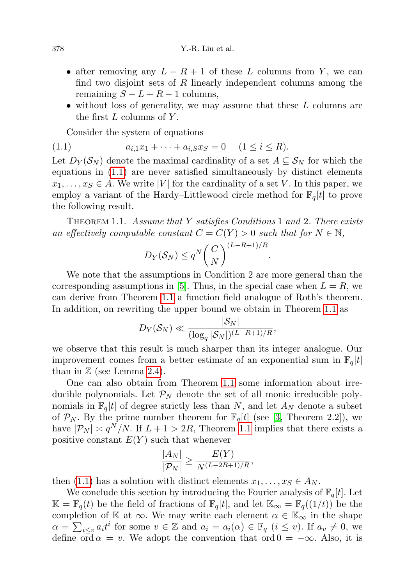- after removing any  $L R + 1$  of these L columns from Y, we can find two disjoint sets of  $R$  linearly independent columns among the remaining  $S - L + R - 1$  columns,
- without loss of generality, we may assume that these  $L$  columns are the first  $L$  columns of  $Y$ .

<span id="page-1-0"></span>Consider the system of equations

$$
(1.1) \t a_{i,1}x_1 + \cdots + a_{i,S}x_S = 0 \t (1 \le i \le R).
$$

Let  $D_Y(\mathcal{S}_N)$  denote the maximal cardinality of a set  $A \subseteq \mathcal{S}_N$  for which the equations in [\(1.1\)](#page-1-0) are never satisfied simultaneously by distinct elements  $x_1, \ldots, x_S \in A$ . We write |V| for the cardinality of a set V. In this paper, we employ a variant of the Hardy–Littlewood circle method for  $\mathbb{F}_q[t]$  to prove the following result.

<span id="page-1-1"></span>THEOREM 1.1. Assume that Y satisfies Conditions 1 and 2. There exists an effectively computable constant  $C = C(Y) > 0$  such that for  $N \in \mathbb{N}$ ,

$$
D_Y(\mathcal{S}_N) \le q^N \bigg(\frac{C}{N}\bigg)^{(L-R+1)/R}.
$$

We note that the assumptions in Condition 2 are more general than the corresponding assumptions in [\[5\]](#page-9-1). Thus, in the special case when  $L = R$ , we can derive from Theorem [1.1](#page-1-1) a function field analogue of Roth's theorem. In addition, on rewriting the upper bound we obtain in Theorem [1.1](#page-1-1) as

$$
D_Y(\mathcal{S}_N) \ll \frac{|\mathcal{S}_N|}{(\log_q |\mathcal{S}_N|)^{(L-R+1)/R}},
$$

we observe that this result is much sharper than its integer analogue. Our improvement comes from a better estimate of an exponential sum in  $\mathbb{F}_q[t]$ than in  $\mathbb Z$  (see Lemma [2.4\)](#page-4-0).

One can also obtain from Theorem [1.1](#page-1-1) some information about irreducible polynomials. Let  $\mathcal{P}_N$  denote the set of all monic irreducible polynomials in  $\mathbb{F}_q[t]$  of degree strictly less than N, and let  $A_N$  denote a subset of  $\mathcal{P}_N$ . By the prime number theorem for  $\mathbb{F}_q[t]$  (see [\[3,](#page-9-3) Theorem 2.2]), we have  $|\mathcal{P}_N| \asymp q^N/N$ . If  $L+1 > 2R$ , Theorem [1.1](#page-1-1) implies that there exists a positive constant  $E(Y)$  such that whenever

$$
\frac{|A_N|}{|\mathcal{P}_N|} \ge \frac{E(Y)}{N^{(L-2R+1)/R}},
$$

then [\(1.1\)](#page-1-0) has a solution with distinct elements  $x_1, \ldots, x_S \in A_N$ .

We conclude this section by introducing the Fourier analysis of  $\mathbb{F}_q[t]$ . Let  $\mathbb{K} = \mathbb{F}_q(t)$  be the field of fractions of  $\mathbb{F}_q[t]$ , and let  $\mathbb{K}_{\infty} = \mathbb{F}_q((1/t))$  be the completion of K at  $\infty$ . We may write each element  $\alpha \in K_{\infty}$  in the shape  $\alpha = \sum_{i \leq v} a_i t^i$  for some  $v \in \mathbb{Z}$  and  $a_i = a_i(\alpha) \in \mathbb{F}_q$   $(i \leq v)$ . If  $a_v \neq 0$ , we define ord  $\alpha = v$ . We adopt the convention that ord  $0 = -\infty$ . Also, it is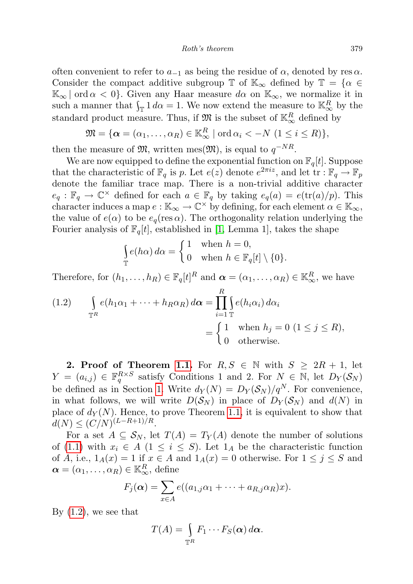often convenient to refer to  $a_{-1}$  as being the residue of  $\alpha$ , denoted by res $\alpha$ . Consider the compact additive subgroup  $\mathbb{T}$  of  $\mathbb{K}_{\infty}$  defined by  $\mathbb{T} = {\alpha \in \mathbb{C}}$  $\mathbb{K}_{\infty}$  ord  $\alpha < 0$ . Given any Haar measure  $d\alpha$  on  $\mathbb{K}_{\infty}$ , we normalize it in such a manner that  $\int_{\mathbb{T}} 1 d\alpha = 1$ . We now extend the measure to  $\mathbb{K}_{\infty}^R$  by the standard product measure. Thus, if  $\mathfrak{M}$  is the subset of  $\mathbb{K}_{\infty}^{R}$  defined by

$$
\mathfrak{M} = \{ \boldsymbol{\alpha} = (\alpha_1, \dots, \alpha_R) \in \mathbb{K}_{\infty}^R \mid \text{ord } \alpha_i < -N \ (1 \leq i \leq R) \},
$$

then the measure of  $\mathfrak{M}$ , written mes $(\mathfrak{M})$ , is equal to  $q^{-NR}$ .

We are now equipped to define the exponential function on  $\mathbb{F}_q[t]$ . Suppose that the characteristic of  $\mathbb{F}_q$  is p. Let  $e(z)$  denote  $e^{2\pi i z}$ , and let  $\overline{\text{tr}} : \mathbb{F}_q \to \mathbb{F}_p$ denote the familiar trace map. There is a non-trivial additive character  $e_q : \mathbb{F}_q \to \mathbb{C}^\times$  defined for each  $a \in \mathbb{F}_q$  by taking  $e_q(a) = e(\text{tr}(a)/p)$ . This character induces a map  $e : \mathbb{K}_{\infty} \to \mathbb{C}^{\times}$  by defining, for each element  $\alpha \in \mathbb{K}_{\infty}$ , the value of  $e(\alpha)$  to be  $e_q(\text{res }\alpha)$ . The orthogonality relation underlying the Fourier analysis of  $\mathbb{F}_q[t]$ , established in [\[1,](#page-9-4) Lemma 1], takes the shape

$$
\int_{\mathbb{T}} e(h\alpha) d\alpha = \begin{cases} 1 & \text{when } h = 0, \\ 0 & \text{when } h \in \mathbb{F}_q[t] \setminus \{0\}. \end{cases}
$$

Therefore, for  $(h_1, \ldots, h_R) \in \mathbb{F}_q[t]^R$  and  $\boldsymbol{\alpha} = (\alpha_1, \ldots, \alpha_R) \in \mathbb{K}_{\infty}^R$ , we have

<span id="page-2-0"></span>(1.2) 
$$
\int_{\mathbb{T}^R} e(h_1 \alpha_1 + \dots + h_R \alpha_R) d\alpha = \prod_{i=1}^R \int_{\mathbb{T}} e(h_i \alpha_i) d\alpha_i
$$

$$
= \begin{cases} 1 & \text{when } h_j = 0 \ (1 \le j \le R), \\ 0 & \text{otherwise.} \end{cases}
$$

2. Proof of Theorem [1.1.](#page-1-1) For  $R, S \in \mathbb{N}$  with  $S \geq 2R + 1$ , let  $Y = (a_{i,j}) \in \mathbb{F}_q^{R \times S}$  satisfy Conditions 1 and 2. For  $N \in \mathbb{N}$ , let  $D_Y(\mathcal{S}_N)$ be defined as in Section [1.](#page-2-0) Write  $d_Y(N) = D_Y(\mathcal{S}_N)/q^N$ . For convenience, in what follows, we will write  $D(S_N)$  in place of  $D_Y(S_N)$  and  $d(N)$  in place of  $d_Y(N)$ . Hence, to prove Theorem [1.1,](#page-1-1) it is equivalent to show that  $d(N) \leq (C/N)^{(L-R+1)/R}.$ 

For a set  $A \subseteq S_N$ , let  $T(A) = T_Y(A)$  denote the number of solutions of [\(1.1\)](#page-1-0) with  $x_i \in A$  (1  $\leq i \leq S$ ). Let  $1_A$  be the characteristic function of A, i.e.,  $1_A(x) = 1$  if  $x \in A$  and  $1_A(x) = 0$  otherwise. For  $1 \leq j \leq S$  and  $\boldsymbol{\alpha} = (\alpha_1, \ldots, \alpha_R) \in \mathbb{K}_{\infty}^R$ , define

$$
F_j(\boldsymbol{\alpha}) = \sum_{x \in A} e((a_{1,j}\alpha_1 + \cdots + a_{R,j}\alpha_R)x).
$$

By  $(1.2)$ , we see that

$$
T(A) = \int_{\mathbb{T}^R} F_1 \cdots F_S(\boldsymbol{\alpha}) \, d\boldsymbol{\alpha}.
$$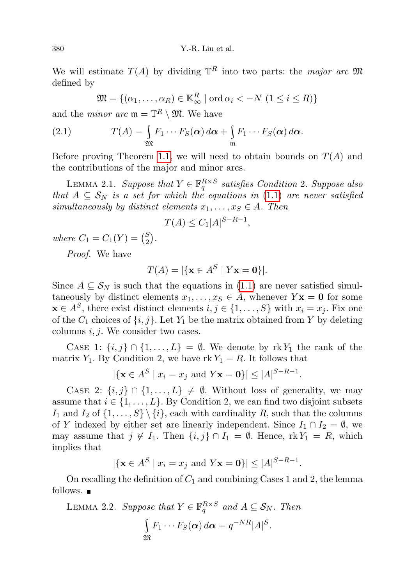We will estimate  $T(A)$  by dividing  $\mathbb{T}^R$  into two parts: the major arc  $\mathfrak{M}$ defined by

<span id="page-3-0"></span>
$$
\mathfrak{M} = \{ (\alpha_1, \dots, \alpha_R) \in \mathbb{K}_{\infty}^R \mid \text{ord } \alpha_i < -N \ (1 \leq i \leq R) \}
$$

and the *minor* arc  $\mathfrak{m} = \mathbb{T}^R \setminus \mathfrak{M}$ . We have

(2.1) 
$$
T(A) = \int_{\mathfrak{M}} F_1 \cdots F_S(\alpha) d\alpha + \int_{\mathfrak{m}} F_1 \cdots F_S(\alpha) d\alpha.
$$

Before proving Theorem [1.1,](#page-1-1) we will need to obtain bounds on  $T(A)$  and the contributions of the major and minor arcs.

<span id="page-3-1"></span>LEMMA 2.1. Suppose that  $Y \in \mathbb{F}_q^{R \times S}$  satisfies Condition 2. Suppose also that  $A \subseteq S_N$  is a set for which the equations in [\(1](#page-1-0).1) are never satisfied simultaneously by distinct elements  $x_1, \ldots, x_S \in A$ . Then

$$
T(A) \le C_1 |A|^{S-R-1},
$$

where  $C_1 = C_1(Y) = {S_2 \choose 2}$  $\binom{S}{2}$  .

Proof. We have

$$
T(A) = |\{\mathbf{x} \in A^S \mid Y\mathbf{x} = \mathbf{0}\}|.
$$

Since  $A \subseteq S_N$  is such that the equations in [\(1.1\)](#page-1-0) are never satisfied simultaneously by distinct elements  $x_1, \ldots, x_s \in A$ , whenever  $Y$ **x** = **0** for some  $\mathbf{x} \in A^S$ , there exist distinct elements  $i, j \in \{1, ..., S\}$  with  $x_i = x_j$ . Fix one of the  $C_1$  choices of  $\{i, j\}$ . Let  $Y_1$  be the matrix obtained from Y by deleting columns  $i, j$ . We consider two cases.

CASE 1:  $\{i, j\} \cap \{1, \ldots, L\} = \emptyset$ . We denote by rk Y<sub>1</sub> the rank of the matrix  $Y_1$ . By Condition 2, we have rk  $Y_1 = R$ . It follows that

$$
|\{\mathbf{x} \in A^S \mid x_i = x_j \text{ and } Y\mathbf{x} = \mathbf{0}\}| \leq |A|^{S-R-1}.
$$

CASE 2:  $\{i, j\} \cap \{1, \ldots, L\} \neq \emptyset$ . Without loss of generality, we may assume that  $i \in \{1, \ldots, L\}$ . By Condition 2, we can find two disjoint subsets I<sub>1</sub> and I<sub>2</sub> of  $\{1, \ldots, S\} \setminus \{i\}$ , each with cardinality R, such that the columns of Y indexed by either set are linearly independent. Since  $I_1 \cap I_2 = \emptyset$ , we may assume that  $j \notin I_1$ . Then  $\{i, j\} \cap I_1 = \emptyset$ . Hence, rk  $Y_1 = R$ , which implies that

$$
|\{\mathbf{x} \in A^S | x_i = x_j \text{ and } Y\mathbf{x} = \mathbf{0}\}| \leq |A|^{S-R-1}.
$$

On recalling the definition of  $C_1$  and combining Cases 1 and 2, the lemma follows.  $\blacksquare$ 

<span id="page-3-2"></span>LEMMA 2.2. Suppose that  $Y \in \mathbb{F}_q^{R \times S}$  and  $A \subseteq \mathcal{S}_N$ . Then  $\overline{\mathbf{S}}$  $F_1 \cdots F_S(\boldsymbol{\alpha}) d\boldsymbol{\alpha} = q^{-NR} |A|^S.$ 

$$
\mathfrak M
$$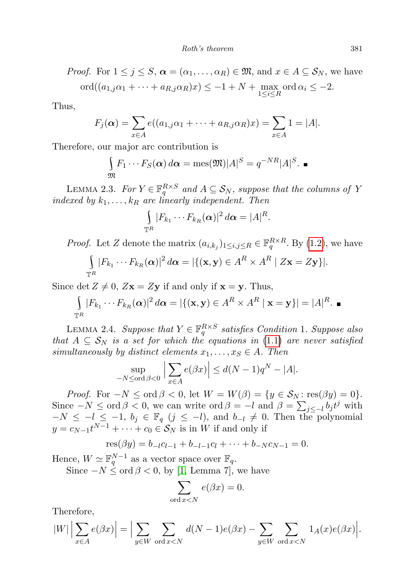*Proof.* For 
$$
1 \le j \le S
$$
,  $\boldsymbol{\alpha} = (\alpha_1, ..., \alpha_R) \in \mathfrak{M}$ , and  $x \in A \subseteq S_N$ , we have  $ord((a_{1,j}\alpha_1 + \cdots + a_{R,j}\alpha_R)x) \le -1 + N + \max_{1 \le i \le R} ord \alpha_i \le -2$ .

Thus,

$$
F_j(\boldsymbol{\alpha}) = \sum_{x \in A} e((a_{1,j}\alpha_1 + \cdots + a_{R,j}\alpha_R)x) = \sum_{x \in A} 1 = |A|.
$$

Therefore, our major arc contribution is

$$
\int_{\mathfrak{M}} F_1 \cdots F_S(\boldsymbol{\alpha}) d\boldsymbol{\alpha} = \text{mes}(\mathfrak{M}) |A|^S = q^{-NR} |A|^S.
$$

<span id="page-4-1"></span>LEMMA 2.3. For  $Y \in \mathbb{F}_q^{R \times S}$  and  $A \subseteq S_N$ , suppose that the columns of Y indexed by  $k_1, \ldots, k_R$  are linearly independent. Then

$$
\int_{\mathbb{T}^R} |F_{k_1}\cdots F_{k_R}(\boldsymbol{\alpha})|^2\,d\boldsymbol{\alpha} = |A|^R.
$$

*Proof.* Let Z denote the matrix  $(a_{i,k_j})_{1 \leq i,j \leq R} \in \mathbb{F}_q^{R \times R}$ . By [\(1.2\)](#page-2-0), we have

$$
\int_{\mathbb{T}^R} |F_{k_1}\cdots F_{k_R}(\boldsymbol{\alpha})|^2 d\boldsymbol{\alpha} = |\{(\mathbf{x}, \mathbf{y}) \in A^R \times A^R | Z\mathbf{x} = Z\mathbf{y}\}|.
$$

Since det  $Z \neq 0$ ,  $Zx = Zy$  if and only if  $x = y$ . Thus,

$$
\int_{\mathbb{T}^R} |F_{k_1} \cdots F_{k_R}(\boldsymbol{\alpha})|^2 d\boldsymbol{\alpha} = |\{(\mathbf{x}, \mathbf{y}) \in A^R \times A^R | \mathbf{x} = \mathbf{y}\}| = |A|^R.
$$

<span id="page-4-0"></span>LEMMA 2.4. Suppose that  $Y \in \mathbb{F}_q^{R \times S}$  satisfies Condition 1. Suppose also that  $A \subseteq S_N$  is a set for which the equations in [\(1](#page-1-0).1) are never satisfied simultaneously by distinct elements  $x_1, \ldots, x_S \in A$ . Then

$$
\sup_{-N \leq \text{ord }\beta < 0} \Big| \sum_{x \in A} e(\beta x) \Big| \leq d(N-1)q^N - |A|.
$$

*Proof.* For  $-N \leq \text{ord } \beta < 0$ , let  $W = W(\beta) = \{y \in S_N : \text{res}(\beta y) = 0\}.$ Since  $-N \leq \text{ord } \beta < 0$ , we can write  $\text{ord } \beta = -l$  and  $\beta = \sum_{j \leq -l} b_j t^j$  with  $-N \leq -l \leq -1$ ,  $b_j \in \mathbb{F}_q$   $(j \leq -l)$ , and  $b_{-l} \neq 0$ . Then the polynomial  $y = c_{N-1}t^{N-1} + \cdots + c_0 \in \mathcal{S}_N$  is in W if and only if

$$
res(\beta y) = b_{-l}c_{l-1} + b_{-l-1}c_l + \cdots + b_{-N}c_{N-1} = 0.
$$

Hence,  $W \simeq \mathbb{F}_q^{N-1}$  as a vector space over  $\mathbb{F}_q$ .

Since  $-N \leq \text{ord } \beta < 0$ , by [\[1,](#page-9-4) Lemma 7], we have

$$
\sum_{\text{ord }x
$$

Therefore,

$$
|W| \left| \sum_{x \in A} e(\beta x) \right| = \Big| \sum_{y \in W} \sum_{\text{ord } x < N} d(N-1)e(\beta x) - \sum_{y \in W} \sum_{\text{ord } x < N} 1_A(x)e(\beta x) \Big|.
$$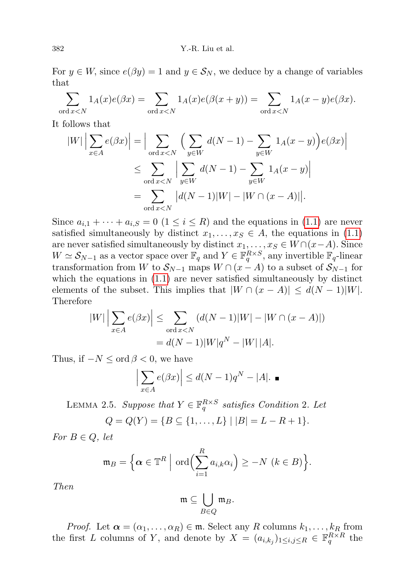For  $y \in W$ , since  $e(\beta y) = 1$  and  $y \in S_N$ , we deduce by a change of variables that

$$
\sum_{\text{ord }x < N} 1_A(x)e(\beta x) = \sum_{\text{ord }x < N} 1_A(x)e(\beta(x+y)) = \sum_{\text{ord }x < N} 1_A(x-y)e(\beta x).
$$

It follows that

$$
|W| \left| \sum_{x \in A} e(\beta x) \right| = \left| \sum_{\text{ord } x < N} \left( \sum_{y \in W} d(N-1) - \sum_{y \in W} 1_A(x-y) \right) e(\beta x) \right|
$$
  

$$
\leq \sum_{\text{ord } x < N} \left| \sum_{y \in W} d(N-1) - \sum_{y \in W} 1_A(x-y) \right|
$$
  

$$
= \sum_{\text{ord } x < N} |d(N-1)|W| - |W \cap (x-A)||.
$$

Since  $a_{i,1} + \cdots + a_{i,S} = 0$   $(1 \leq i \leq R)$  $(1 \leq i \leq R)$  and the equations in (1.1) are never satisfied simultaneously by distinct  $x_1, \ldots, x_s \in A$ , the equations in (1.[1\)](#page-1-0) are never satisfied simultaneously by distinct  $x_1, \ldots, x_S \in W \cap (x - A)$ . Since  $W \simeq \mathcal{S}_{N-1}$  as a vector space over  $\mathbb{F}_q$  and  $Y \in \mathbb{F}_q^{R \times S}$ , any invertible  $\mathbb{F}_q$ -linear transformation from W to  $S_{N-1}$  maps  $W \cap (x - A)$  to a subset of  $S_{N-1}$  for which the equations in  $(1.1)$  $(1.1)$  are never satisfied simultaneously by distinct elements of the subset. This implies that  $|W \cap (x - A)| \le d(N - 1)|W|$ . Therefore

$$
|W| \left| \sum_{x \in A} e(\beta x) \right| \le \sum_{\text{ord } x < N} \left( d(N-1)|W| - |W \cap (x - A)| \right)
$$
  
=  $d(N-1)|W|q^N - |W| |A|$ .

Thus, if  $-N \leq \text{ord } \beta < 0$ , we have

$$
\left| \sum_{x \in A} e(\beta x) \right| \le d(N-1)q^N - |A|. \blacksquare
$$

<span id="page-5-0"></span>LEMMA 2.5. Suppose that  $Y \in \mathbb{F}_q^{R \times S}$  satisfies Condition 2. Let

$$
Q = Q(Y) = \{ B \subseteq \{1, \ldots, L\} \mid |B| = L - R + 1 \}.
$$

For  $B \in Q$ , let

$$
\mathfrak{m}_B = \Big\{ \boldsymbol{\alpha} \in \mathbb{T}^R \Big| \text{ ord}\Big(\sum_{i=1}^R a_{i,k} \alpha_i\Big) \geq -N \ (k \in B) \Big\}.
$$

Then

$$
\mathfrak{m} \subseteq \bigcup_{B \in Q} \mathfrak{m}_B.
$$

*Proof.* Let  $\boldsymbol{\alpha} = (\alpha_1, \dots, \alpha_R) \in \mathfrak{m}$ . Select any R columns  $k_1, \dots, k_R$  from the first L columns of Y, and denote by  $X = (a_{i,k_j})_{1 \leq i,j \leq R} \in \mathbb{F}_q^{R \times R}$  the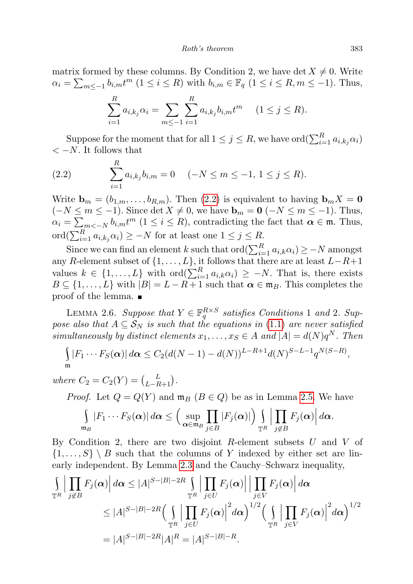matrix formed by these columns. By Condition 2, we have det  $X \neq 0$ . Write  $\alpha_i = \sum_{m \leq -1} b_{i,m} t^m \ (1 \leq i \leq R)$  with  $b_{i,m} \in \mathbb{F}_q$   $(1 \leq i \leq R, m \leq -1)$ . Thus,

$$
\sum_{i=1}^{R} a_{i,k_j} \alpha_i = \sum_{m \leq -1} \sum_{i=1}^{R} a_{i,k_j} b_{i,m} t^m \quad (1 \leq j \leq R).
$$

Suppose for the moment that for all  $1 \leq j \leq R$ , we have  $\mathrm{ord}(\sum_{i=1}^R a_{i,k_j}\alpha_i)$  $<-N$ . It follows that

<span id="page-6-0"></span>(2.2) 
$$
\sum_{i=1}^{R} a_{i,k_j} b_{i,m} = 0 \quad (-N \le m \le -1, 1 \le j \le R).
$$

Write  $\mathbf{b}_m = (b_{1,m}, \ldots, b_{R,m})$ . Then [\(2.2\)](#page-6-0) is equivalent to having  $\mathbf{b}_m X = \mathbf{0}$  $(-N \le m \le -1)$ . Since det  $X \ne 0$ , we have  $\mathbf{b}_m = \mathbf{0}$   $(-N \le m \le -1)$ . Thus,  $\alpha_i = \sum_{m < -N} b_{i,m} t^m$  ( $1 \le i \le R$ ), contradicting the fact that  $\alpha \in \mathfrak{m}$ . Thus,  $\operatorname{ord}(\sum_{i=1}^R a_{i,k_j}\alpha_i) \ge -N$  for at least one  $1 \le j \le R$ .

Since we can find an element k such that  $\text{ord}(\sum_{i=1}^{R} a_{i,k}\alpha_i) \geq -N$  amongst any R-element subset of  $\{1, \ldots, L\}$ , it follows that there are at least  $L-R+1$ values  $k \in \{1, ..., L\}$  with  $\text{ord}(\sum_{i=1}^{R} a_{i,k}\alpha_i) \geq -N$ . That is, there exists  $B \subseteq \{1, \ldots, L\}$  with  $|B| = L - R + 1$  such that  $\alpha \in \mathfrak{m}_B$ . This completes the proof of the lemma.

<span id="page-6-1"></span>LEMMA 2.6. Suppose that  $Y \in \mathbb{F}_q^{R \times S}$  satisfies Conditions 1 and 2. Suppose also that  $A \subseteq S_N$  is such that the equations in (1.[1\)](#page-1-0) are never satisfied simultaneously by distinct elements  $x_1, \ldots, x_S \in A$  and  $|A| = d(N)q^N$ . Then

$$
\int_{\mathfrak{m}} |F_1 \cdots F_S(\boldsymbol{\alpha})| d\boldsymbol{\alpha} \leq C_2 (d(N-1) - d(N))^{L-R+1} d(N)^{S-L-1} q^{N(S-R)},
$$

where  $C_2 = C_2(Y) = {L \choose L-R+1}.$ 

*Proof.* Let  $Q = Q(Y)$  and  $\mathfrak{m}_B$   $(B \in Q)$  be as in Lemma [2.5.](#page-5-0) We have

$$
\int_{\mathfrak{m}_B} |F_1 \cdots F_S(\boldsymbol{\alpha})| d\boldsymbol{\alpha} \leq \Big(\sup_{\boldsymbol{\alpha} \in \mathfrak{m}_B} \prod_{j \in B} |F_j(\boldsymbol{\alpha})|\Big) \int_{\mathbb{T}^R} \Big| \prod_{j \notin B} F_j(\boldsymbol{\alpha}) \Big| d\boldsymbol{\alpha}.
$$

By Condition 2, there are two disjoint  $R$ -element subsets  $U$  and  $V$  of  $\{1,\ldots,S\} \setminus B$  such that the columns of Y indexed by either set are linearly independent. By Lemma [2.3](#page-4-1) and the Cauchy–Schwarz inequality,

$$
\int_{\mathbb{T}^R} \left| \prod_{j \notin B} F_j(\alpha) \right| d\alpha \le |A|^{S-|B|-2R} \int_{\mathbb{T}^R} \left| \prod_{j \in U} F_j(\alpha) \right| \left| \prod_{j \in V} F_j(\alpha) \right| d\alpha
$$
\n
$$
\le |A|^{S-|B|-2R} \left( \int_{\mathbb{T}^R} \left| \prod_{j \in U} F_j(\alpha) \right|^2 d\alpha \right)^{1/2} \left( \int_{\mathbb{T}^R} \left| \prod_{j \in V} F_j(\alpha) \right|^2 d\alpha \right)^{1/2}
$$
\n
$$
= |A|^{S-|B|-2R} |A|^R = |A|^{S-|B|-R}.
$$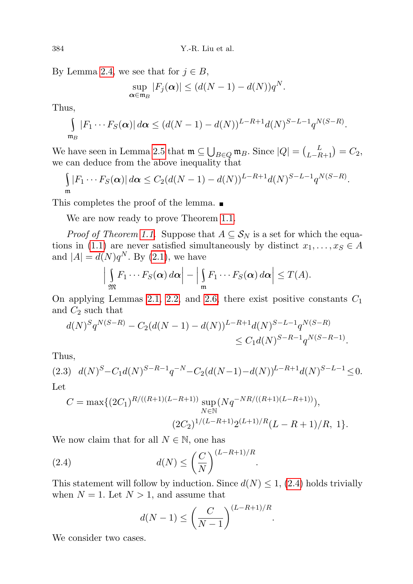By Lemma [2.4,](#page-4-0) we see that for  $j \in B$ ,

$$
\sup_{\alpha \in \mathfrak{m}_B} |F_j(\alpha)| \leq (d(N-1) - d(N))q^N.
$$

Thus,

$$
\int_{\mathfrak{m}_B} |F_1\cdots F_S(\boldsymbol{\alpha})| d\boldsymbol{\alpha} \le (d(N-1)-d(N))^{L-R+1}d(N)^{S-L-1}q^{N(S-R)}.
$$

We have seen in Lemma [2.5](#page-5-0) that  $\mathfrak{m} \subseteq \bigcup_{B \in Q} \mathfrak{m}_B$ . Since  $|Q| = {L \choose L-R+1} = C_2$ , we can deduce from the above inequality that

$$
\int_{\mathfrak{m}} |F_1 \cdots F_S(\boldsymbol{\alpha})| d\boldsymbol{\alpha} \leq C_2 (d(N-1) - d(N))^{L-R+1} d(N)^{S-L-1} q^{N(S-R)}.
$$

This completes the proof of the lemma.

We are now ready to prove Theorem [1.1.](#page-1-1)

*Proof of Theorem [1.1.](#page-1-1)* Suppose that  $A \subseteq S_N$  is a set for which the equa-tions in (1.[1\)](#page-1-0) are never satisfied simultaneously by distinct  $x_1, \ldots, x_S \in A$ and  $|A| = d(N)q^N$ . By [\(2.1\)](#page-3-0), we have

$$
\left|\int_{\mathfrak{M}} F_1\cdots F_S(\boldsymbol{\alpha})\,d\boldsymbol{\alpha}\right|-\left|\int_{\mathfrak{m}} F_1\cdots F_S(\boldsymbol{\alpha})\,d\boldsymbol{\alpha}\right|\leq T(A).
$$

On applying Lemmas [2.1,](#page-3-1) [2.2,](#page-3-2) and [2.6,](#page-6-1) there exist positive constants  $C_1$ and  $C_2$  such that

$$
d(N)^S q^{N(S-R)} - C_2 (d(N-1) - d(N))^{L-R+1} d(N)^{S-L-1} q^{N(S-R)} \leq C_1 d(N)^{S-R-1} q^{N(S-R-1)}.
$$

Thus,

<span id="page-7-1"></span>
$$
(2.3) \quad d(N)^S - C_1 d(N)^{S-R-1} q^{-N} - C_2 (d(N-1) - d(N))^{L-R+1} d(N)^{S-L-1} \le 0.
$$
  
Let

$$
C = \max\{(2C_1)^{R/((R+1)(L-R+1))}\sup_{N\in\mathbb{N}}(Nq^{-NR/((R+1)(L-R+1))}),
$$
  

$$
(2C_2)^{1/(L-R+1)}2^{(L+1)/R}(L-R+1)/R, 1\}.
$$

We now claim that for all  $N \in \mathbb{N}$ , one has

(2.4) 
$$
d(N) \leq \left(\frac{C}{N}\right)^{(L-R+1)/R}
$$

This statement will follow by induction. Since  $d(N) \leq 1$ , [\(2.4\)](#page-7-0) holds trivially when  $N = 1$ . Let  $N > 1$ , and assume that

.

<span id="page-7-0"></span>
$$
d(N-1) \le \left(\frac{C}{N-1}\right)^{(L-R+1)/R}.
$$

We consider two cases.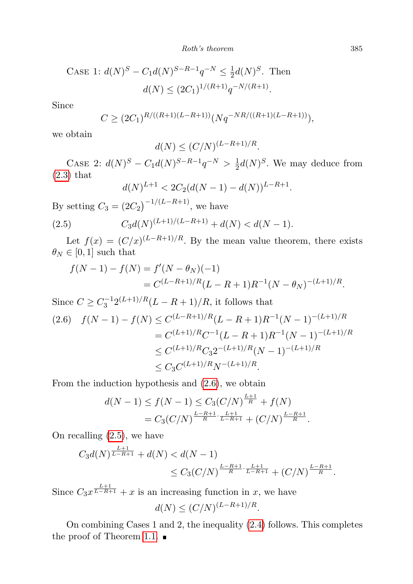Roth's theorem 385

CASE 1: 
$$
d(N)^S - C_1 d(N)^{S-R-1} q^{-N} \le \frac{1}{2} d(N)^S
$$
. Then  

$$
d(N) \le (2C_1)^{1/(R+1)} q^{-N/(R+1)}
$$
.

Since

$$
C \ge (2C_1)^{R/((R+1)(L-R+1))} (Nq^{-NR/((R+1)(L-R+1))}),
$$

we obtain

$$
d(N) \le (C/N)^{(L-R+1)/R}.
$$

CASE 2:  $d(N)^S - C_1 d(N)^{S-R-1} q^{-N} > \frac{1}{2}$  $\frac{1}{2}d(N)^S$ . We may deduce from [\(2.3\)](#page-7-1) that

<span id="page-8-1"></span>
$$
d(N)^{L+1} < 2C_2(d(N-1) - d(N))^{L-R+1}.
$$

By setting  $C_3 = (2C_2)^{-1/(L-R+1)}$ , we have (2.5)  $C_3 d(N)^{(L+1)/(L-R+1)} + d(N) < d(N-1).$ 

Let  $f(x) = (C/x)^{(L-R+1)/R}$ . By the mean value theorem, there exists  $\theta_N \in [0,1]$  such that

$$
f(N-1) - f(N) = f'(N - \theta_N)(-1)
$$
  
=  $C^{(L-R+1)/R}(L - R + 1)R^{-1}(N - \theta_N)^{-(L+1)/R}$ .

Since  $C \ge C_3^{-1} 2^{(L+1)/R} (L - R + 1)/R$ , it follows that

<span id="page-8-0"></span>
$$
(2.6) \quad f(N-1) - f(N) \le C^{(L-R+1)/R} (L - R + 1)R^{-1} (N - 1)^{-(L+1)/R}
$$
  
=  $C^{(L+1)/R} C^{-1} (L - R + 1)R^{-1} (N - 1)^{-(L+1)/R}$   
 $\le C^{(L+1)/R} C_3 2^{-(L+1)/R} (N - 1)^{-(L+1)/R}$   
 $\le C_3 C^{(L+1)/R} N^{-(L+1)/R}.$ 

From the induction hypothesis and [\(2.6\)](#page-8-0), we obtain

$$
d(N-1) \le f(N-1) \le C_3 \left(\frac{C}{N}\right)^{\frac{L+1}{R}} + f(N)
$$
  
=  $C_3 \left(\frac{C}{N}\right)^{\frac{L-R+1}{R} \cdot \frac{L+1}{L-R+1}} + \left(\frac{C}{N}\right)^{\frac{L-R+1}{R}}.$ 

On recalling [\(2.5\)](#page-8-1), we have

 $\mathbf{r}$ <sub>11</sub>

$$
C_3 d(N)^{\frac{L+1}{L-R+1}} + d(N) < d(N-1) \\
\leq C_3 \left( \frac{C}{N} \right)^{\frac{L-R+1}{R} \cdot \frac{L+1}{L-R+1}} + \left( \frac{C}{N} \right)^{\frac{L-R+1}{R}}.
$$

Since  $C_3 x^{\frac{L+1}{L-R+1}} + x$  is an increasing function in x, we have  $d(N) \le (C/N)^{(L-R+1)/R}.$ 

On combining Cases 1 and 2, the inequality [\(2.4\)](#page-7-0) follows. This completes the proof of Theorem [1.1.](#page-1-1)  $\blacksquare$